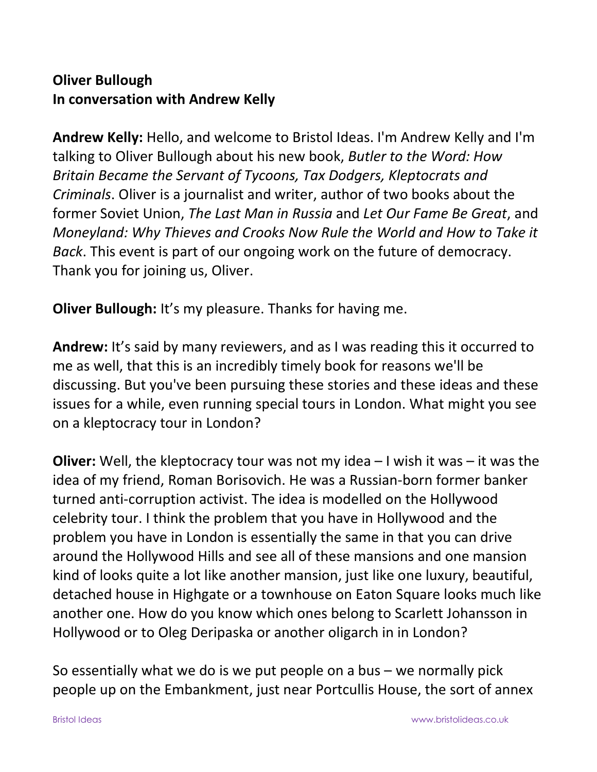## **Oliver Bullough In conversation with Andrew Kelly**

**Andrew Kelly:** Hello, and welcome to Bristol Ideas. I'm Andrew Kelly and I'm talking to Oliver Bullough about his new book, *Butler to the Word: How Britain Became the Servant of Tycoons, Tax Dodgers, Kleptocrats and Criminals*. Oliver is a journalist and writer, author of two books about the former Soviet Union, *The Last Man in Russia* and *Let Our Fame Be Great*, and *Moneyland: Why Thieves and Crooks Now Rule the World and How to Take it Back*. This event is part of our ongoing work on the future of democracy. Thank you for joining us, Oliver.

**Oliver Bullough:** It's my pleasure. Thanks for having me.

**Andrew:** It's said by many reviewers, and as I was reading this it occurred to me as well, that this is an incredibly timely book for reasons we'll be discussing. But you've been pursuing these stories and these ideas and these issues for a while, even running special tours in London. What might you see on a kleptocracy tour in London?

**Oliver:** Well, the kleptocracy tour was not my idea – I wish it was – it was the idea of my friend, Roman Borisovich. He was a Russian-born former banker turned anti-corruption activist. The idea is modelled on the Hollywood celebrity tour. I think the problem that you have in Hollywood and the problem you have in London is essentially the same in that you can drive around the Hollywood Hills and see all of these mansions and one mansion kind of looks quite a lot like another mansion, just like one luxury, beautiful, detached house in Highgate or a townhouse on Eaton Square looks much like another one. How do you know which ones belong to Scarlett Johansson in Hollywood or to Oleg Deripaska or another oligarch in in London?

So essentially what we do is we put people on a bus – we normally pick people up on the Embankment, just near Portcullis House, the sort of annex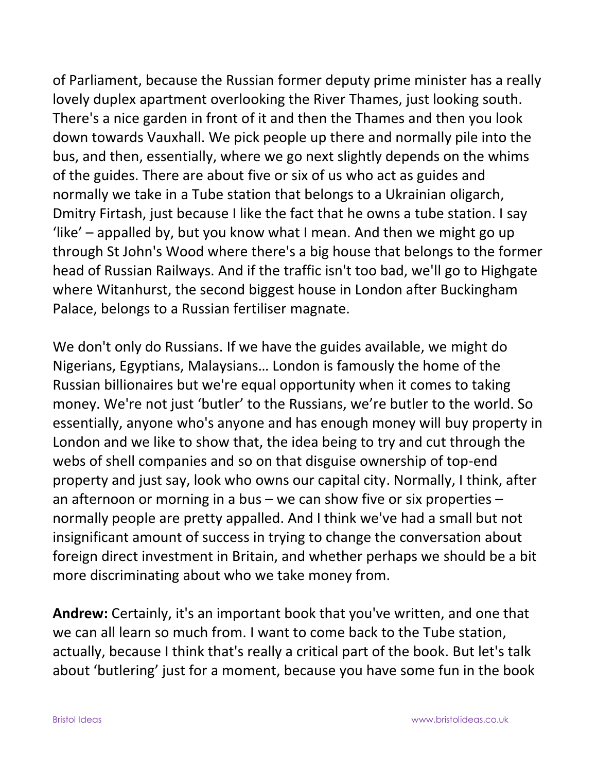of Parliament, because the Russian former deputy prime minister has a really lovely duplex apartment overlooking the River Thames, just looking south. There's a nice garden in front of it and then the Thames and then you look down towards Vauxhall. We pick people up there and normally pile into the bus, and then, essentially, where we go next slightly depends on the whims of the guides. There are about five or six of us who act as guides and normally we take in a Tube station that belongs to a Ukrainian oligarch, Dmitry Firtash, just because I like the fact that he owns a tube station. I say 'like' – appalled by, but you know what I mean. And then we might go up through St John's Wood where there's a big house that belongs to the former head of Russian Railways. And if the traffic isn't too bad, we'll go to Highgate where Witanhurst, the second biggest house in London after Buckingham Palace, belongs to a Russian fertiliser magnate.

We don't only do Russians. If we have the guides available, we might do Nigerians, Egyptians, Malaysians… London is famously the home of the Russian billionaires but we're equal opportunity when it comes to taking money. We're not just 'butler' to the Russians, we're butler to the world. So essentially, anyone who's anyone and has enough money will buy property in London and we like to show that, the idea being to try and cut through the webs of shell companies and so on that disguise ownership of top-end property and just say, look who owns our capital city. Normally, I think, after an afternoon or morning in a bus – we can show five or six properties – normally people are pretty appalled. And I think we've had a small but not insignificant amount of success in trying to change the conversation about foreign direct investment in Britain, and whether perhaps we should be a bit more discriminating about who we take money from.

**Andrew:** Certainly, it's an important book that you've written, and one that we can all learn so much from. I want to come back to the Tube station, actually, because I think that's really a critical part of the book. But let's talk about 'butlering' just for a moment, because you have some fun in the book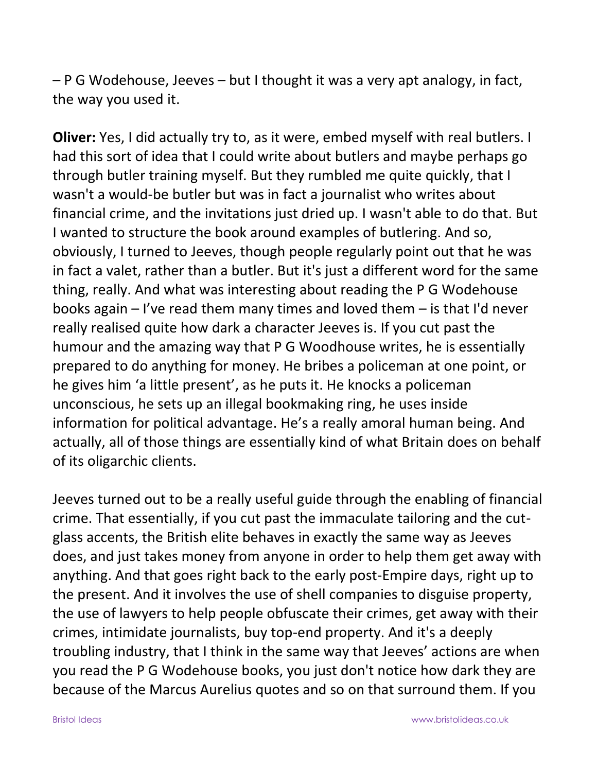– P G Wodehouse, Jeeves – but I thought it was a very apt analogy, in fact, the way you used it.

**Oliver:** Yes, I did actually try to, as it were, embed myself with real butlers. I had this sort of idea that I could write about butlers and maybe perhaps go through butler training myself. But they rumbled me quite quickly, that I wasn't a would-be butler but was in fact a journalist who writes about financial crime, and the invitations just dried up. I wasn't able to do that. But I wanted to structure the book around examples of butlering. And so, obviously, I turned to Jeeves, though people regularly point out that he was in fact a valet, rather than a butler. But it's just a different word for the same thing, really. And what was interesting about reading the P G Wodehouse books again – I've read them many times and loved them – is that I'd never really realised quite how dark a character Jeeves is. If you cut past the humour and the amazing way that P G Woodhouse writes, he is essentially prepared to do anything for money. He bribes a policeman at one point, or he gives him 'a little present', as he puts it. He knocks a policeman unconscious, he sets up an illegal bookmaking ring, he uses inside information for political advantage. He's a really amoral human being. And actually, all of those things are essentially kind of what Britain does on behalf of its oligarchic clients.

Jeeves turned out to be a really useful guide through the enabling of financial crime. That essentially, if you cut past the immaculate tailoring and the cutglass accents, the British elite behaves in exactly the same way as Jeeves does, and just takes money from anyone in order to help them get away with anything. And that goes right back to the early post-Empire days, right up to the present. And it involves the use of shell companies to disguise property, the use of lawyers to help people obfuscate their crimes, get away with their crimes, intimidate journalists, buy top-end property. And it's a deeply troubling industry, that I think in the same way that Jeeves' actions are when you read the P G Wodehouse books, you just don't notice how dark they are because of the Marcus Aurelius quotes and so on that surround them. If you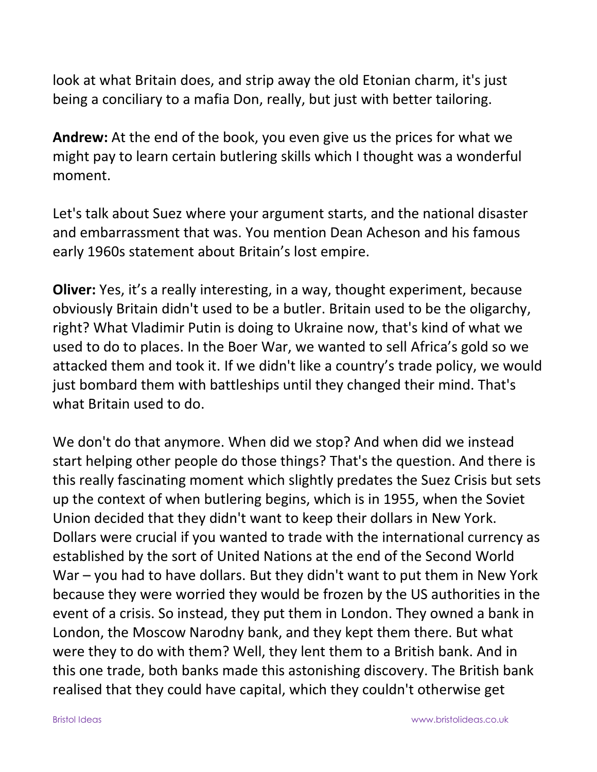look at what Britain does, and strip away the old Etonian charm, it's just being a conciliary to a mafia Don, really, but just with better tailoring.

**Andrew:** At the end of the book, you even give us the prices for what we might pay to learn certain butlering skills which I thought was a wonderful moment.

Let's talk about Suez where your argument starts, and the national disaster and embarrassment that was. You mention Dean Acheson and his famous early 1960s statement about Britain's lost empire.

**Oliver:** Yes, it's a really interesting, in a way, thought experiment, because obviously Britain didn't used to be a butler. Britain used to be the oligarchy, right? What Vladimir Putin is doing to Ukraine now, that's kind of what we used to do to places. In the Boer War, we wanted to sell Africa's gold so we attacked them and took it. If we didn't like a country's trade policy, we would just bombard them with battleships until they changed their mind. That's what Britain used to do.

We don't do that anymore. When did we stop? And when did we instead start helping other people do those things? That's the question. And there is this really fascinating moment which slightly predates the Suez Crisis but sets up the context of when butlering begins, which is in 1955, when the Soviet Union decided that they didn't want to keep their dollars in New York. Dollars were crucial if you wanted to trade with the international currency as established by the sort of United Nations at the end of the Second World War – you had to have dollars. But they didn't want to put them in New York because they were worried they would be frozen by the US authorities in the event of a crisis. So instead, they put them in London. They owned a bank in London, the Moscow Narodny bank, and they kept them there. But what were they to do with them? Well, they lent them to a British bank. And in this one trade, both banks made this astonishing discovery. The British bank realised that they could have capital, which they couldn't otherwise get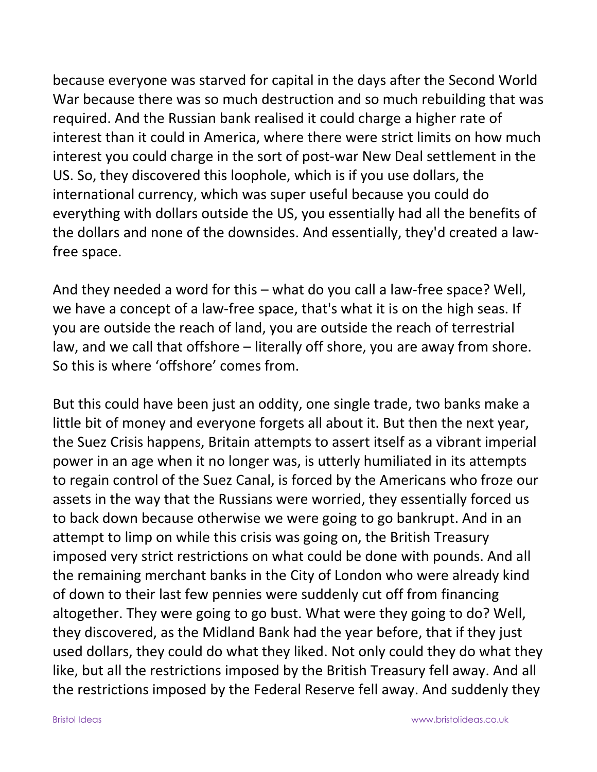because everyone was starved for capital in the days after the Second World War because there was so much destruction and so much rebuilding that was required. And the Russian bank realised it could charge a higher rate of interest than it could in America, where there were strict limits on how much interest you could charge in the sort of post-war New Deal settlement in the US. So, they discovered this loophole, which is if you use dollars, the international currency, which was super useful because you could do everything with dollars outside the US, you essentially had all the benefits of the dollars and none of the downsides. And essentially, they'd created a lawfree space.

And they needed a word for this – what do you call a law-free space? Well, we have a concept of a law-free space, that's what it is on the high seas. If you are outside the reach of land, you are outside the reach of terrestrial law, and we call that offshore – literally off shore, you are away from shore. So this is where 'offshore' comes from.

But this could have been just an oddity, one single trade, two banks make a little bit of money and everyone forgets all about it. But then the next year, the Suez Crisis happens, Britain attempts to assert itself as a vibrant imperial power in an age when it no longer was, is utterly humiliated in its attempts to regain control of the Suez Canal, is forced by the Americans who froze our assets in the way that the Russians were worried, they essentially forced us to back down because otherwise we were going to go bankrupt. And in an attempt to limp on while this crisis was going on, the British Treasury imposed very strict restrictions on what could be done with pounds. And all the remaining merchant banks in the City of London who were already kind of down to their last few pennies were suddenly cut off from financing altogether. They were going to go bust. What were they going to do? Well, they discovered, as the Midland Bank had the year before, that if they just used dollars, they could do what they liked. Not only could they do what they like, but all the restrictions imposed by the British Treasury fell away. And all the restrictions imposed by the Federal Reserve fell away. And suddenly they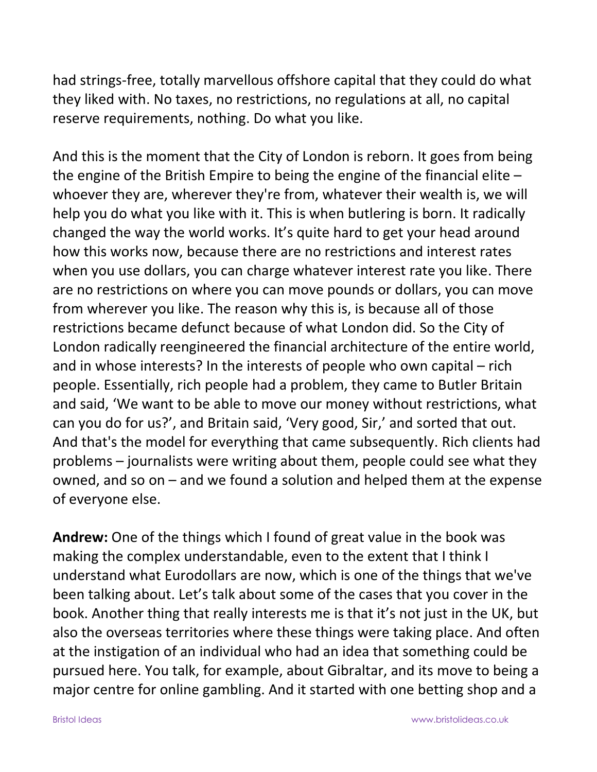had strings-free, totally marvellous offshore capital that they could do what they liked with. No taxes, no restrictions, no regulations at all, no capital reserve requirements, nothing. Do what you like.

And this is the moment that the City of London is reborn. It goes from being the engine of the British Empire to being the engine of the financial elite – whoever they are, wherever they're from, whatever their wealth is, we will help you do what you like with it. This is when butlering is born. It radically changed the way the world works. It's quite hard to get your head around how this works now, because there are no restrictions and interest rates when you use dollars, you can charge whatever interest rate you like. There are no restrictions on where you can move pounds or dollars, you can move from wherever you like. The reason why this is, is because all of those restrictions became defunct because of what London did. So the City of London radically reengineered the financial architecture of the entire world, and in whose interests? In the interests of people who own capital – rich people. Essentially, rich people had a problem, they came to Butler Britain and said, 'We want to be able to move our money without restrictions, what can you do for us?', and Britain said, 'Very good, Sir,' and sorted that out. And that's the model for everything that came subsequently. Rich clients had problems – journalists were writing about them, people could see what they owned, and so on – and we found a solution and helped them at the expense of everyone else.

**Andrew:** One of the things which I found of great value in the book was making the complex understandable, even to the extent that I think I understand what Eurodollars are now, which is one of the things that we've been talking about. Let's talk about some of the cases that you cover in the book. Another thing that really interests me is that it's not just in the UK, but also the overseas territories where these things were taking place. And often at the instigation of an individual who had an idea that something could be pursued here. You talk, for example, about Gibraltar, and its move to being a major centre for online gambling. And it started with one betting shop and a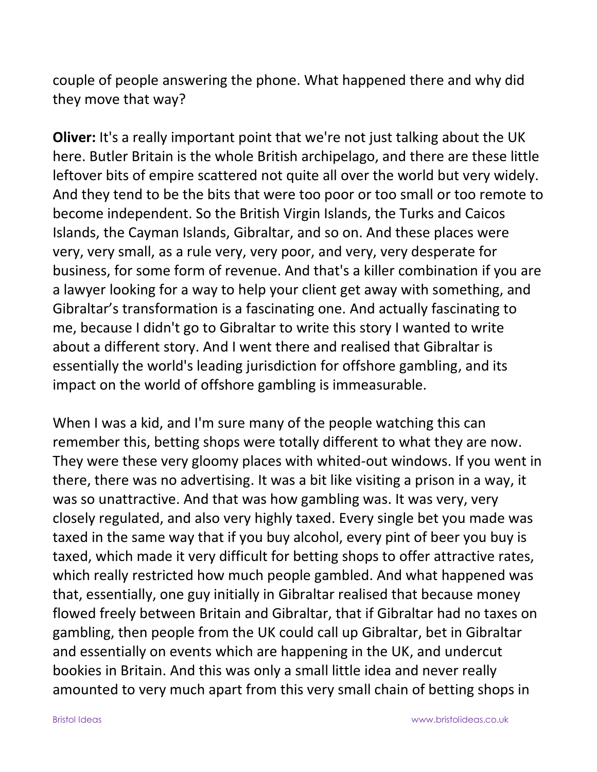couple of people answering the phone. What happened there and why did they move that way?

**Oliver:** It's a really important point that we're not just talking about the UK here. Butler Britain is the whole British archipelago, and there are these little leftover bits of empire scattered not quite all over the world but very widely. And they tend to be the bits that were too poor or too small or too remote to become independent. So the British Virgin Islands, the Turks and Caicos Islands, the Cayman Islands, Gibraltar, and so on. And these places were very, very small, as a rule very, very poor, and very, very desperate for business, for some form of revenue. And that's a killer combination if you are a lawyer looking for a way to help your client get away with something, and Gibraltar's transformation is a fascinating one. And actually fascinating to me, because I didn't go to Gibraltar to write this story I wanted to write about a different story. And I went there and realised that Gibraltar is essentially the world's leading jurisdiction for offshore gambling, and its impact on the world of offshore gambling is immeasurable.

When I was a kid, and I'm sure many of the people watching this can remember this, betting shops were totally different to what they are now. They were these very gloomy places with whited-out windows. If you went in there, there was no advertising. It was a bit like visiting a prison in a way, it was so unattractive. And that was how gambling was. It was very, very closely regulated, and also very highly taxed. Every single bet you made was taxed in the same way that if you buy alcohol, every pint of beer you buy is taxed, which made it very difficult for betting shops to offer attractive rates, which really restricted how much people gambled. And what happened was that, essentially, one guy initially in Gibraltar realised that because money flowed freely between Britain and Gibraltar, that if Gibraltar had no taxes on gambling, then people from the UK could call up Gibraltar, bet in Gibraltar and essentially on events which are happening in the UK, and undercut bookies in Britain. And this was only a small little idea and never really amounted to very much apart from this very small chain of betting shops in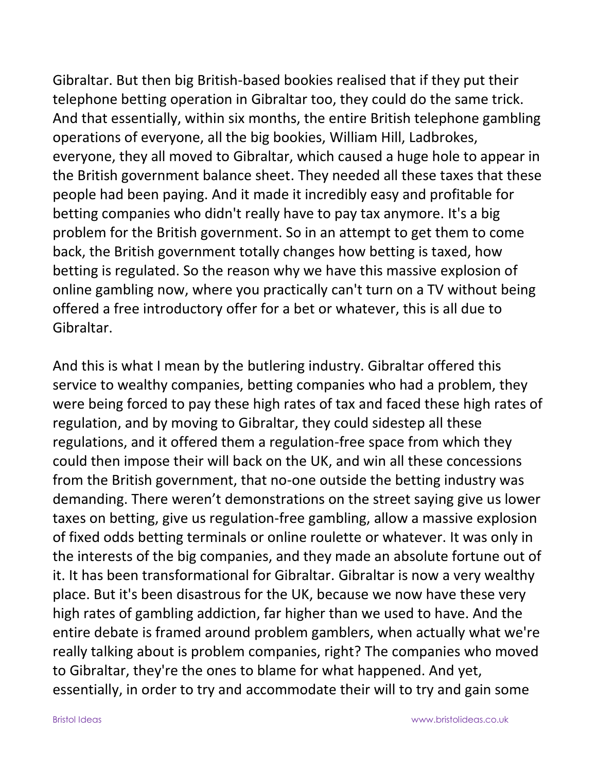Gibraltar. But then big British-based bookies realised that if they put their telephone betting operation in Gibraltar too, they could do the same trick. And that essentially, within six months, the entire British telephone gambling operations of everyone, all the big bookies, William Hill, Ladbrokes, everyone, they all moved to Gibraltar, which caused a huge hole to appear in the British government balance sheet. They needed all these taxes that these people had been paying. And it made it incredibly easy and profitable for betting companies who didn't really have to pay tax anymore. It's a big problem for the British government. So in an attempt to get them to come back, the British government totally changes how betting is taxed, how betting is regulated. So the reason why we have this massive explosion of online gambling now, where you practically can't turn on a TV without being offered a free introductory offer for a bet or whatever, this is all due to Gibraltar.

And this is what I mean by the butlering industry. Gibraltar offered this service to wealthy companies, betting companies who had a problem, they were being forced to pay these high rates of tax and faced these high rates of regulation, and by moving to Gibraltar, they could sidestep all these regulations, and it offered them a regulation-free space from which they could then impose their will back on the UK, and win all these concessions from the British government, that no-one outside the betting industry was demanding. There weren't demonstrations on the street saying give us lower taxes on betting, give us regulation-free gambling, allow a massive explosion of fixed odds betting terminals or online roulette or whatever. It was only in the interests of the big companies, and they made an absolute fortune out of it. It has been transformational for Gibraltar. Gibraltar is now a very wealthy place. But it's been disastrous for the UK, because we now have these very high rates of gambling addiction, far higher than we used to have. And the entire debate is framed around problem gamblers, when actually what we're really talking about is problem companies, right? The companies who moved to Gibraltar, they're the ones to blame for what happened. And yet, essentially, in order to try and accommodate their will to try and gain some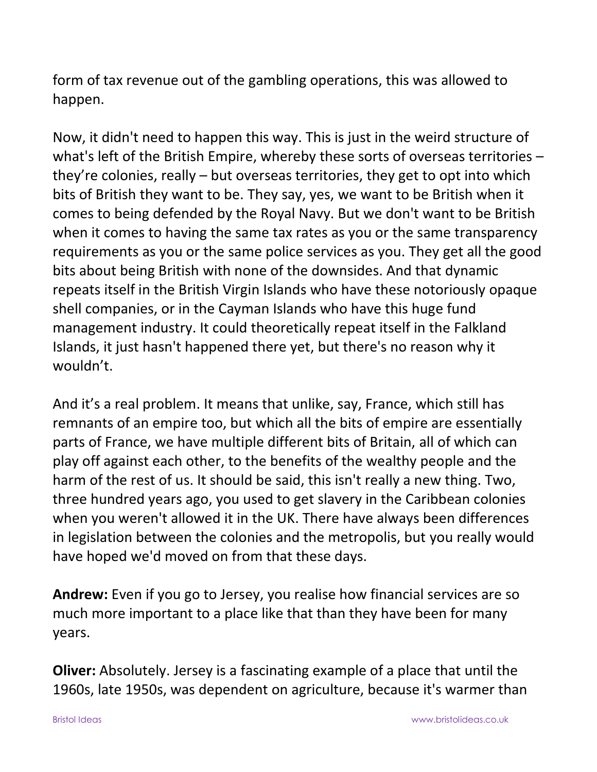form of tax revenue out of the gambling operations, this was allowed to happen.

Now, it didn't need to happen this way. This is just in the weird structure of what's left of the British Empire, whereby these sorts of overseas territories – they're colonies, really – but overseas territories, they get to opt into which bits of British they want to be. They say, yes, we want to be British when it comes to being defended by the Royal Navy. But we don't want to be British when it comes to having the same tax rates as you or the same transparency requirements as you or the same police services as you. They get all the good bits about being British with none of the downsides. And that dynamic repeats itself in the British Virgin Islands who have these notoriously opaque shell companies, or in the Cayman Islands who have this huge fund management industry. It could theoretically repeat itself in the Falkland Islands, it just hasn't happened there yet, but there's no reason why it wouldn't.

And it's a real problem. It means that unlike, say, France, which still has remnants of an empire too, but which all the bits of empire are essentially parts of France, we have multiple different bits of Britain, all of which can play off against each other, to the benefits of the wealthy people and the harm of the rest of us. It should be said, this isn't really a new thing. Two, three hundred years ago, you used to get slavery in the Caribbean colonies when you weren't allowed it in the UK. There have always been differences in legislation between the colonies and the metropolis, but you really would have hoped we'd moved on from that these days.

**Andrew:** Even if you go to Jersey, you realise how financial services are so much more important to a place like that than they have been for many years.

**Oliver:** Absolutely. Jersey is a fascinating example of a place that until the 1960s, late 1950s, was dependent on agriculture, because it's warmer than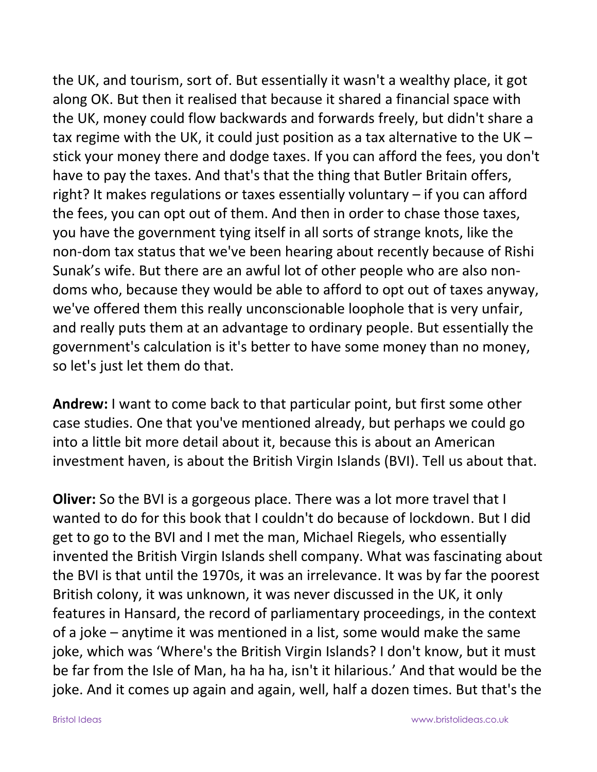the UK, and tourism, sort of. But essentially it wasn't a wealthy place, it got along OK. But then it realised that because it shared a financial space with the UK, money could flow backwards and forwards freely, but didn't share a tax regime with the UK, it could just position as a tax alternative to the UK – stick your money there and dodge taxes. If you can afford the fees, you don't have to pay the taxes. And that's that the thing that Butler Britain offers, right? It makes regulations or taxes essentially voluntary – if you can afford the fees, you can opt out of them. And then in order to chase those taxes, you have the government tying itself in all sorts of strange knots, like the non-dom tax status that we've been hearing about recently because of Rishi Sunak's wife. But there are an awful lot of other people who are also nondoms who, because they would be able to afford to opt out of taxes anyway, we've offered them this really unconscionable loophole that is very unfair, and really puts them at an advantage to ordinary people. But essentially the government's calculation is it's better to have some money than no money, so let's just let them do that.

**Andrew:** I want to come back to that particular point, but first some other case studies. One that you've mentioned already, but perhaps we could go into a little bit more detail about it, because this is about an American investment haven, is about the British Virgin Islands (BVI). Tell us about that.

**Oliver:** So the BVI is a gorgeous place. There was a lot more travel that I wanted to do for this book that I couldn't do because of lockdown. But I did get to go to the BVI and I met the man, Michael Riegels, who essentially invented the British Virgin Islands shell company. What was fascinating about the BVI is that until the 1970s, it was an irrelevance. It was by far the poorest British colony, it was unknown, it was never discussed in the UK, it only features in Hansard, the record of parliamentary proceedings, in the context of a joke – anytime it was mentioned in a list, some would make the same joke, which was 'Where's the British Virgin Islands? I don't know, but it must be far from the Isle of Man, ha ha ha, isn't it hilarious.' And that would be the joke. And it comes up again and again, well, half a dozen times. But that's the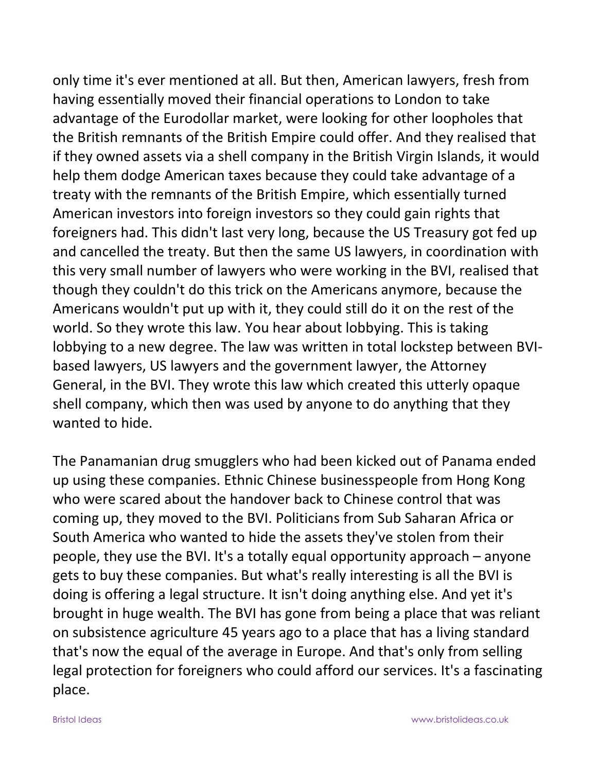only time it's ever mentioned at all. But then, American lawyers, fresh from having essentially moved their financial operations to London to take advantage of the Eurodollar market, were looking for other loopholes that the British remnants of the British Empire could offer. And they realised that if they owned assets via a shell company in the British Virgin Islands, it would help them dodge American taxes because they could take advantage of a treaty with the remnants of the British Empire, which essentially turned American investors into foreign investors so they could gain rights that foreigners had. This didn't last very long, because the US Treasury got fed up and cancelled the treaty. But then the same US lawyers, in coordination with this very small number of lawyers who were working in the BVI, realised that though they couldn't do this trick on the Americans anymore, because the Americans wouldn't put up with it, they could still do it on the rest of the world. So they wrote this law. You hear about lobbying. This is taking lobbying to a new degree. The law was written in total lockstep between BVIbased lawyers, US lawyers and the government lawyer, the Attorney General, in the BVI. They wrote this law which created this utterly opaque shell company, which then was used by anyone to do anything that they wanted to hide.

The Panamanian drug smugglers who had been kicked out of Panama ended up using these companies. Ethnic Chinese businesspeople from Hong Kong who were scared about the handover back to Chinese control that was coming up, they moved to the BVI. Politicians from Sub Saharan Africa or South America who wanted to hide the assets they've stolen from their people, they use the BVI. It's a totally equal opportunity approach – anyone gets to buy these companies. But what's really interesting is all the BVI is doing is offering a legal structure. It isn't doing anything else. And yet it's brought in huge wealth. The BVI has gone from being a place that was reliant on subsistence agriculture 45 years ago to a place that has a living standard that's now the equal of the average in Europe. And that's only from selling legal protection for foreigners who could afford our services. It's a fascinating place.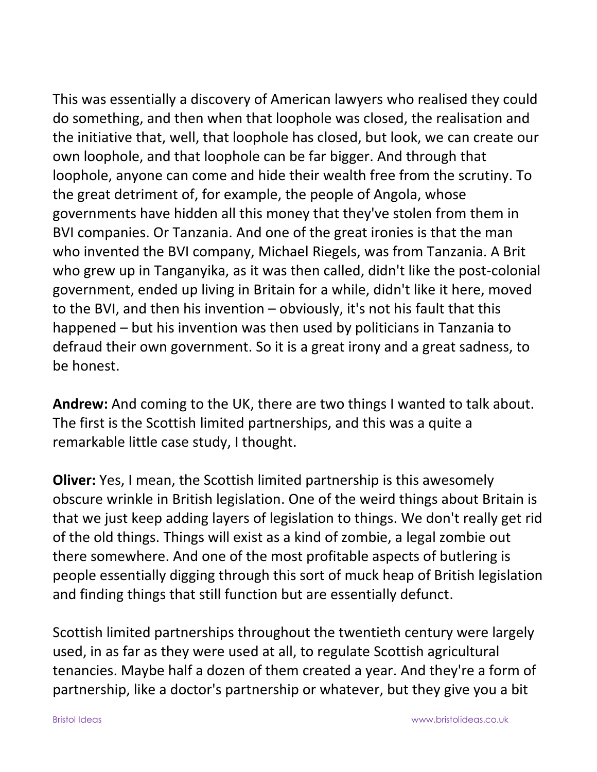This was essentially a discovery of American lawyers who realised they could do something, and then when that loophole was closed, the realisation and the initiative that, well, that loophole has closed, but look, we can create our own loophole, and that loophole can be far bigger. And through that loophole, anyone can come and hide their wealth free from the scrutiny. To the great detriment of, for example, the people of Angola, whose governments have hidden all this money that they've stolen from them in BVI companies. Or Tanzania. And one of the great ironies is that the man who invented the BVI company, Michael Riegels, was from Tanzania. A Brit who grew up in Tanganyika, as it was then called, didn't like the post-colonial government, ended up living in Britain for a while, didn't like it here, moved to the BVI, and then his invention – obviously, it's not his fault that this happened – but his invention was then used by politicians in Tanzania to defraud their own government. So it is a great irony and a great sadness, to be honest.

**Andrew:** And coming to the UK, there are two things I wanted to talk about. The first is the Scottish limited partnerships, and this was a quite a remarkable little case study, I thought.

**Oliver:** Yes, I mean, the Scottish limited partnership is this awesomely obscure wrinkle in British legislation. One of the weird things about Britain is that we just keep adding layers of legislation to things. We don't really get rid of the old things. Things will exist as a kind of zombie, a legal zombie out there somewhere. And one of the most profitable aspects of butlering is people essentially digging through this sort of muck heap of British legislation and finding things that still function but are essentially defunct.

Scottish limited partnerships throughout the twentieth century were largely used, in as far as they were used at all, to regulate Scottish agricultural tenancies. Maybe half a dozen of them created a year. And they're a form of partnership, like a doctor's partnership or whatever, but they give you a bit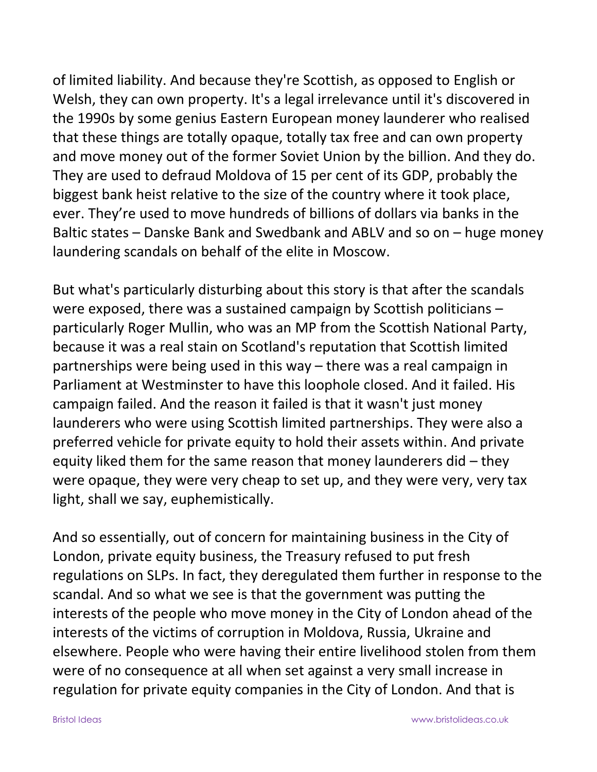of limited liability. And because they're Scottish, as opposed to English or Welsh, they can own property. It's a legal irrelevance until it's discovered in the 1990s by some genius Eastern European money launderer who realised that these things are totally opaque, totally tax free and can own property and move money out of the former Soviet Union by the billion. And they do. They are used to defraud Moldova of 15 per cent of its GDP, probably the biggest bank heist relative to the size of the country where it took place, ever. They're used to move hundreds of billions of dollars via banks in the Baltic states – Danske Bank and Swedbank and ABLV and so on – huge money laundering scandals on behalf of the elite in Moscow.

But what's particularly disturbing about this story is that after the scandals were exposed, there was a sustained campaign by Scottish politicians – particularly Roger Mullin, who was an MP from the Scottish National Party, because it was a real stain on Scotland's reputation that Scottish limited partnerships were being used in this way – there was a real campaign in Parliament at Westminster to have this loophole closed. And it failed. His campaign failed. And the reason it failed is that it wasn't just money launderers who were using Scottish limited partnerships. They were also a preferred vehicle for private equity to hold their assets within. And private equity liked them for the same reason that money launderers did – they were opaque, they were very cheap to set up, and they were very, very tax light, shall we say, euphemistically.

And so essentially, out of concern for maintaining business in the City of London, private equity business, the Treasury refused to put fresh regulations on SLPs. In fact, they deregulated them further in response to the scandal. And so what we see is that the government was putting the interests of the people who move money in the City of London ahead of the interests of the victims of corruption in Moldova, Russia, Ukraine and elsewhere. People who were having their entire livelihood stolen from them were of no consequence at all when set against a very small increase in regulation for private equity companies in the City of London. And that is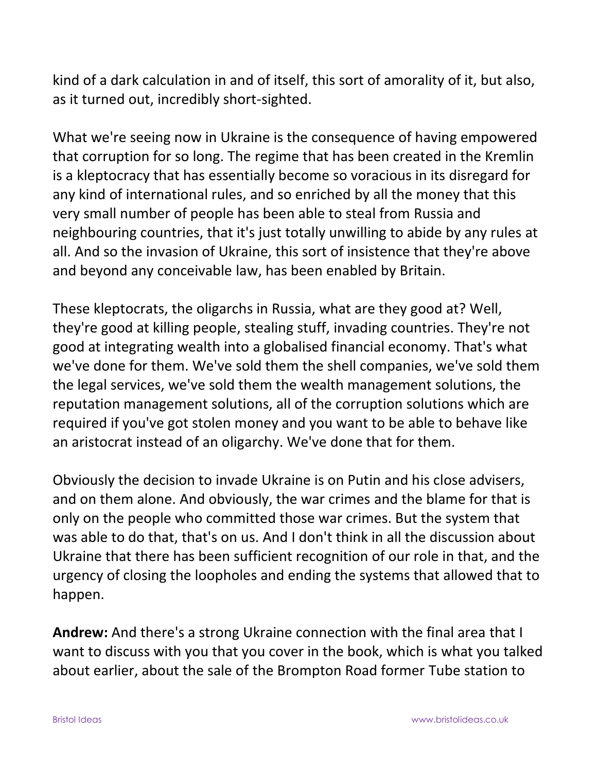kind of a dark calculation in and of itself, this sort of amorality of it, but also, as it turned out, incredibly short-sighted.

What we're seeing now in Ukraine is the consequence of having empowered that corruption for so long. The regime that has been created in the Kremlin is a kleptocracy that has essentially become so voracious in its disregard for any kind of international rules, and so enriched by all the money that this very small number of people has been able to steal from Russia and neighbouring countries, that it's just totally unwilling to abide by any rules at all. And so the invasion of Ukraine, this sort of insistence that they're above and beyond any conceivable law, has been enabled by Britain.

These kleptocrats, the oligarchs in Russia, what are they good at? Well, they're good at killing people, stealing stuff, invading countries. They're not good at integrating wealth into a globalised financial economy. That's what we've done for them. We've sold them the shell companies, we've sold them the legal services, we've sold them the wealth management solutions, the reputation management solutions, all of the corruption solutions which are required if you've got stolen money and you want to be able to behave like an aristocrat instead of an oligarchy. We've done that for them.

Obviously the decision to invade Ukraine is on Putin and his close advisers, and on them alone. And obviously, the war crimes and the blame for that is only on the people who committed those war crimes. But the system that was able to do that, that's on us. And I don't think in all the discussion about Ukraine that there has been sufficient recognition of our role in that, and the urgency of closing the loopholes and ending the systems that allowed that to happen.

**Andrew:** And there's a strong Ukraine connection with the final area that I want to discuss with you that you cover in the book, which is what you talked about earlier, about the sale of the Brompton Road former Tube station to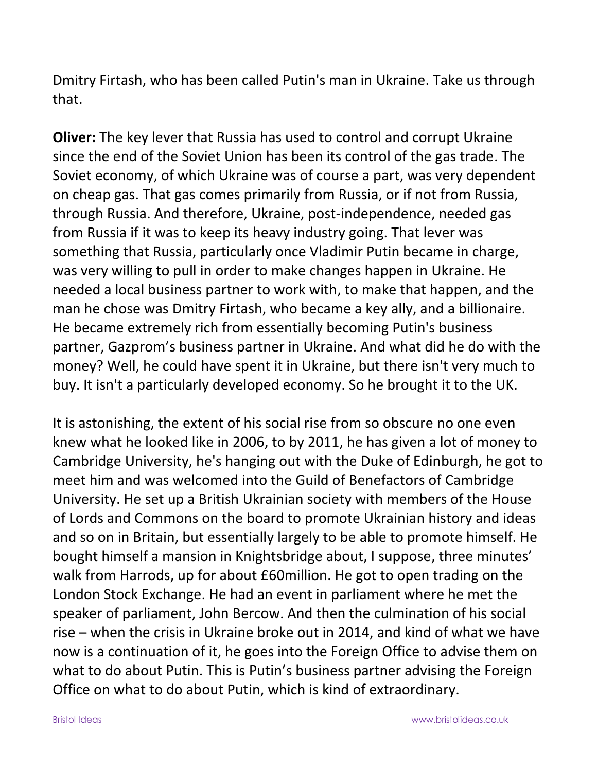Dmitry Firtash, who has been called Putin's man in Ukraine. Take us through that.

**Oliver:** The key lever that Russia has used to control and corrupt Ukraine since the end of the Soviet Union has been its control of the gas trade. The Soviet economy, of which Ukraine was of course a part, was very dependent on cheap gas. That gas comes primarily from Russia, or if not from Russia, through Russia. And therefore, Ukraine, post-independence, needed gas from Russia if it was to keep its heavy industry going. That lever was something that Russia, particularly once Vladimir Putin became in charge, was very willing to pull in order to make changes happen in Ukraine. He needed a local business partner to work with, to make that happen, and the man he chose was Dmitry Firtash, who became a key ally, and a billionaire. He became extremely rich from essentially becoming Putin's business partner, Gazprom's business partner in Ukraine. And what did he do with the money? Well, he could have spent it in Ukraine, but there isn't very much to buy. It isn't a particularly developed economy. So he brought it to the UK.

It is astonishing, the extent of his social rise from so obscure no one even knew what he looked like in 2006, to by 2011, he has given a lot of money to Cambridge University, he's hanging out with the Duke of Edinburgh, he got to meet him and was welcomed into the Guild of Benefactors of Cambridge University. He set up a British Ukrainian society with members of the House of Lords and Commons on the board to promote Ukrainian history and ideas and so on in Britain, but essentially largely to be able to promote himself. He bought himself a mansion in Knightsbridge about, I suppose, three minutes' walk from Harrods, up for about £60million. He got to open trading on the London Stock Exchange. He had an event in parliament where he met the speaker of parliament, John Bercow. And then the culmination of his social rise – when the crisis in Ukraine broke out in 2014, and kind of what we have now is a continuation of it, he goes into the Foreign Office to advise them on what to do about Putin. This is Putin's business partner advising the Foreign Office on what to do about Putin, which is kind of extraordinary.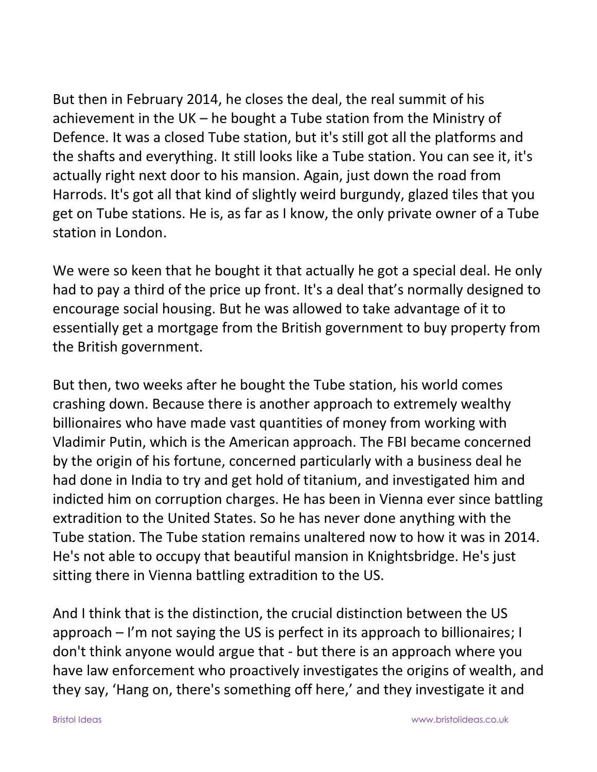But then in February 2014, he closes the deal, the real summit of his achievement in the UK – he bought a Tube station from the Ministry of Defence. It was a closed Tube station, but it's still got all the platforms and the shafts and everything. It still looks like a Tube station. You can see it, it's actually right next door to his mansion. Again, just down the road from Harrods. It's got all that kind of slightly weird burgundy, glazed tiles that you get on Tube stations. He is, as far as I know, the only private owner of a Tube station in London.

We were so keen that he bought it that actually he got a special deal. He only had to pay a third of the price up front. It's a deal that's normally designed to encourage social housing. But he was allowed to take advantage of it to essentially get a mortgage from the British government to buy property from the British government.

But then, two weeks after he bought the Tube station, his world comes crashing down. Because there is another approach to extremely wealthy billionaires who have made vast quantities of money from working with Vladimir Putin, which is the American approach. The FBI became concerned by the origin of his fortune, concerned particularly with a business deal he had done in India to try and get hold of titanium, and investigated him and indicted him on corruption charges. He has been in Vienna ever since battling extradition to the United States. So he has never done anything with the Tube station. The Tube station remains unaltered now to how it was in 2014. He's not able to occupy that beautiful mansion in Knightsbridge. He's just sitting there in Vienna battling extradition to the US.

And I think that is the distinction, the crucial distinction between the US approach – I'm not saying the US is perfect in its approach to billionaires; I don't think anyone would argue that - but there is an approach where you have law enforcement who proactively investigates the origins of wealth, and they say, 'Hang on, there's something off here,' and they investigate it and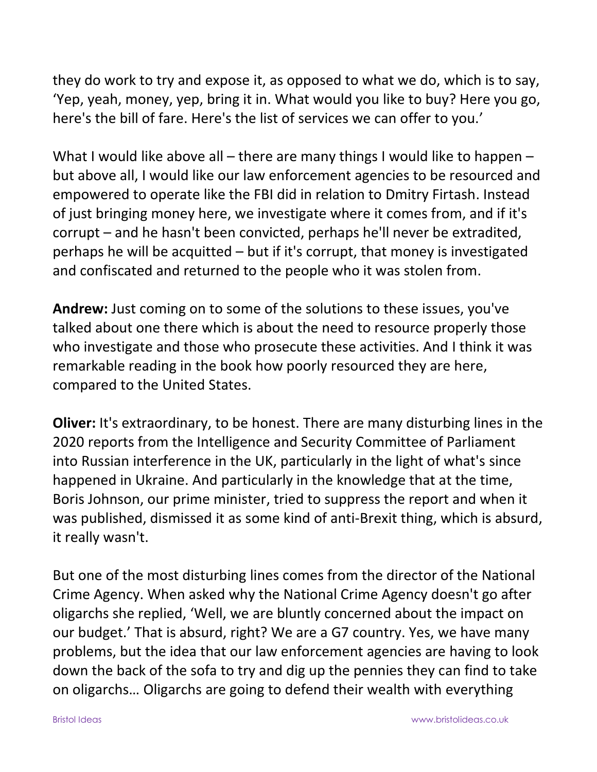they do work to try and expose it, as opposed to what we do, which is to say, 'Yep, yeah, money, yep, bring it in. What would you like to buy? Here you go, here's the bill of fare. Here's the list of services we can offer to you.'

What I would like above all – there are many things I would like to happen – but above all, I would like our law enforcement agencies to be resourced and empowered to operate like the FBI did in relation to Dmitry Firtash. Instead of just bringing money here, we investigate where it comes from, and if it's corrupt – and he hasn't been convicted, perhaps he'll never be extradited, perhaps he will be acquitted – but if it's corrupt, that money is investigated and confiscated and returned to the people who it was stolen from.

**Andrew:** Just coming on to some of the solutions to these issues, you've talked about one there which is about the need to resource properly those who investigate and those who prosecute these activities. And I think it was remarkable reading in the book how poorly resourced they are here, compared to the United States.

**Oliver:** It's extraordinary, to be honest. There are many disturbing lines in the 2020 reports from the Intelligence and Security Committee of Parliament into Russian interference in the UK, particularly in the light of what's since happened in Ukraine. And particularly in the knowledge that at the time, Boris Johnson, our prime minister, tried to suppress the report and when it was published, dismissed it as some kind of anti-Brexit thing, which is absurd, it really wasn't.

But one of the most disturbing lines comes from the director of the National Crime Agency. When asked why the National Crime Agency doesn't go after oligarchs she replied, 'Well, we are bluntly concerned about the impact on our budget.' That is absurd, right? We are a G7 country. Yes, we have many problems, but the idea that our law enforcement agencies are having to look down the back of the sofa to try and dig up the pennies they can find to take on oligarchs… Oligarchs are going to defend their wealth with everything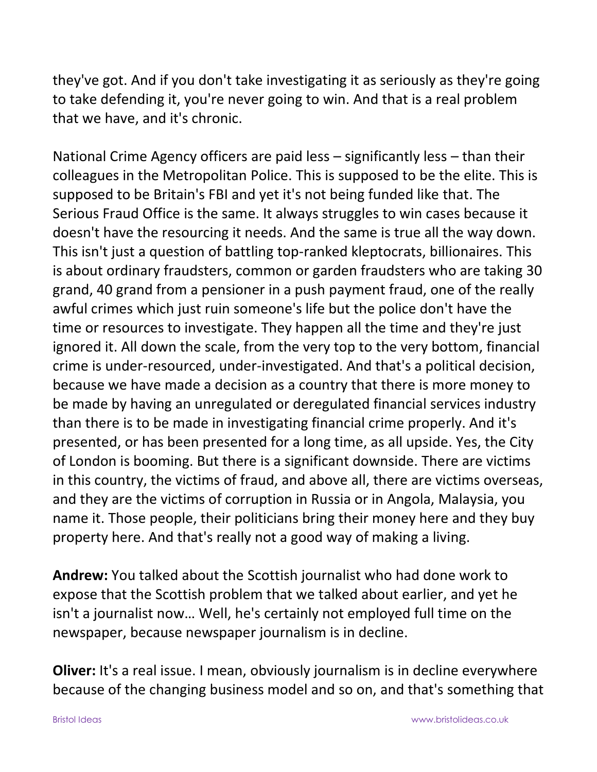they've got. And if you don't take investigating it as seriously as they're going to take defending it, you're never going to win. And that is a real problem that we have, and it's chronic.

National Crime Agency officers are paid less – significantly less – than their colleagues in the Metropolitan Police. This is supposed to be the elite. This is supposed to be Britain's FBI and yet it's not being funded like that. The Serious Fraud Office is the same. It always struggles to win cases because it doesn't have the resourcing it needs. And the same is true all the way down. This isn't just a question of battling top-ranked kleptocrats, billionaires. This is about ordinary fraudsters, common or garden fraudsters who are taking 30 grand, 40 grand from a pensioner in a push payment fraud, one of the really awful crimes which just ruin someone's life but the police don't have the time or resources to investigate. They happen all the time and they're just ignored it. All down the scale, from the very top to the very bottom, financial crime is under-resourced, under-investigated. And that's a political decision, because we have made a decision as a country that there is more money to be made by having an unregulated or deregulated financial services industry than there is to be made in investigating financial crime properly. And it's presented, or has been presented for a long time, as all upside. Yes, the City of London is booming. But there is a significant downside. There are victims in this country, the victims of fraud, and above all, there are victims overseas, and they are the victims of corruption in Russia or in Angola, Malaysia, you name it. Those people, their politicians bring their money here and they buy property here. And that's really not a good way of making a living.

**Andrew:** You talked about the Scottish journalist who had done work to expose that the Scottish problem that we talked about earlier, and yet he isn't a journalist now… Well, he's certainly not employed full time on the newspaper, because newspaper journalism is in decline.

**Oliver:** It's a real issue. I mean, obviously journalism is in decline everywhere because of the changing business model and so on, and that's something that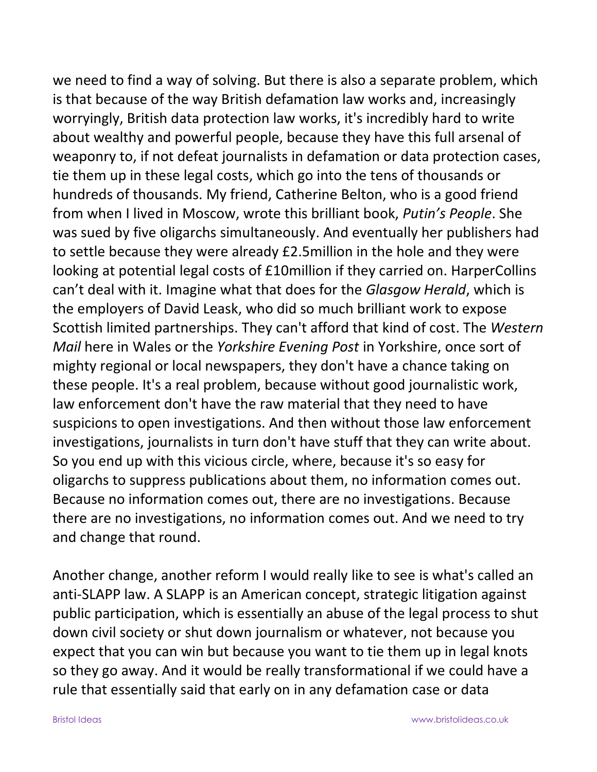we need to find a way of solving. But there is also a separate problem, which is that because of the way British defamation law works and, increasingly worryingly, British data protection law works, it's incredibly hard to write about wealthy and powerful people, because they have this full arsenal of weaponry to, if not defeat journalists in defamation or data protection cases, tie them up in these legal costs, which go into the tens of thousands or hundreds of thousands. My friend, Catherine Belton, who is a good friend from when I lived in Moscow, wrote this brilliant book, *Putin's People*. She was sued by five oligarchs simultaneously. And eventually her publishers had to settle because they were already £2.5million in the hole and they were looking at potential legal costs of £10million if they carried on. HarperCollins can't deal with it. Imagine what that does for the *Glasgow Herald*, which is the employers of David Leask, who did so much brilliant work to expose Scottish limited partnerships. They can't afford that kind of cost. The *Western Mail* here in Wales or the *Yorkshire Evening Post* in Yorkshire, once sort of mighty regional or local newspapers, they don't have a chance taking on these people. It's a real problem, because without good journalistic work, law enforcement don't have the raw material that they need to have suspicions to open investigations. And then without those law enforcement investigations, journalists in turn don't have stuff that they can write about. So you end up with this vicious circle, where, because it's so easy for oligarchs to suppress publications about them, no information comes out. Because no information comes out, there are no investigations. Because there are no investigations, no information comes out. And we need to try and change that round.

Another change, another reform I would really like to see is what's called an anti-SLAPP law. A SLAPP is an American concept, strategic litigation against public participation, which is essentially an abuse of the legal process to shut down civil society or shut down journalism or whatever, not because you expect that you can win but because you want to tie them up in legal knots so they go away. And it would be really transformational if we could have a rule that essentially said that early on in any defamation case or data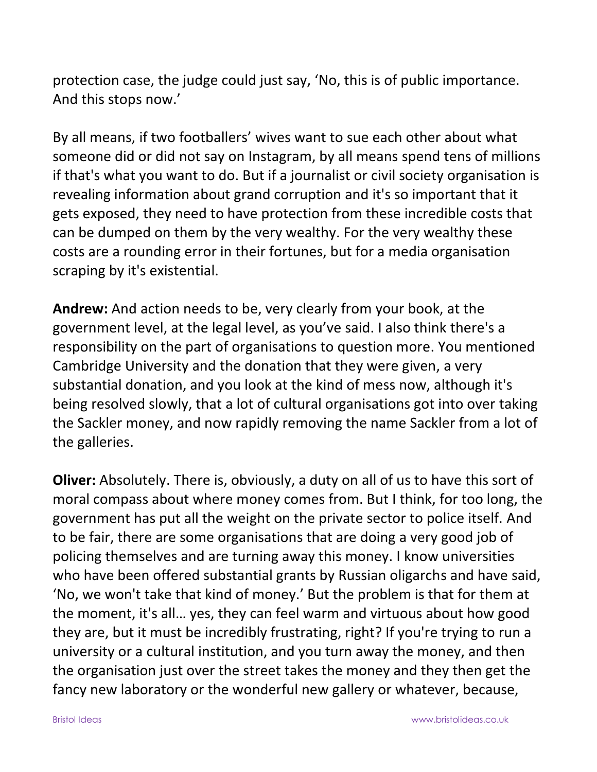protection case, the judge could just say, 'No, this is of public importance. And this stops now.'

By all means, if two footballers' wives want to sue each other about what someone did or did not say on Instagram, by all means spend tens of millions if that's what you want to do. But if a journalist or civil society organisation is revealing information about grand corruption and it's so important that it gets exposed, they need to have protection from these incredible costs that can be dumped on them by the very wealthy. For the very wealthy these costs are a rounding error in their fortunes, but for a media organisation scraping by it's existential.

**Andrew:** And action needs to be, very clearly from your book, at the government level, at the legal level, as you've said. I also think there's a responsibility on the part of organisations to question more. You mentioned Cambridge University and the donation that they were given, a very substantial donation, and you look at the kind of mess now, although it's being resolved slowly, that a lot of cultural organisations got into over taking the Sackler money, and now rapidly removing the name Sackler from a lot of the galleries.

**Oliver:** Absolutely. There is, obviously, a duty on all of us to have this sort of moral compass about where money comes from. But I think, for too long, the government has put all the weight on the private sector to police itself. And to be fair, there are some organisations that are doing a very good job of policing themselves and are turning away this money. I know universities who have been offered substantial grants by Russian oligarchs and have said, 'No, we won't take that kind of money.' But the problem is that for them at the moment, it's all… yes, they can feel warm and virtuous about how good they are, but it must be incredibly frustrating, right? If you're trying to run a university or a cultural institution, and you turn away the money, and then the organisation just over the street takes the money and they then get the fancy new laboratory or the wonderful new gallery or whatever, because,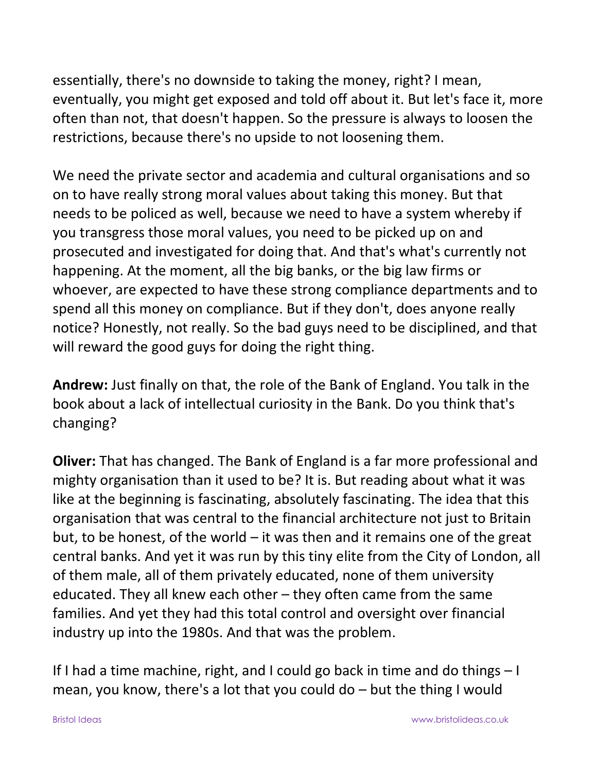essentially, there's no downside to taking the money, right? I mean, eventually, you might get exposed and told off about it. But let's face it, more often than not, that doesn't happen. So the pressure is always to loosen the restrictions, because there's no upside to not loosening them.

We need the private sector and academia and cultural organisations and so on to have really strong moral values about taking this money. But that needs to be policed as well, because we need to have a system whereby if you transgress those moral values, you need to be picked up on and prosecuted and investigated for doing that. And that's what's currently not happening. At the moment, all the big banks, or the big law firms or whoever, are expected to have these strong compliance departments and to spend all this money on compliance. But if they don't, does anyone really notice? Honestly, not really. So the bad guys need to be disciplined, and that will reward the good guys for doing the right thing.

**Andrew:** Just finally on that, the role of the Bank of England. You talk in the book about a lack of intellectual curiosity in the Bank. Do you think that's changing?

**Oliver:** That has changed. The Bank of England is a far more professional and mighty organisation than it used to be? It is. But reading about what it was like at the beginning is fascinating, absolutely fascinating. The idea that this organisation that was central to the financial architecture not just to Britain but, to be honest, of the world – it was then and it remains one of the great central banks. And yet it was run by this tiny elite from the City of London, all of them male, all of them privately educated, none of them university educated. They all knew each other – they often came from the same families. And yet they had this total control and oversight over financial industry up into the 1980s. And that was the problem.

If I had a time machine, right, and I could go back in time and do things – I mean, you know, there's a lot that you could do – but the thing I would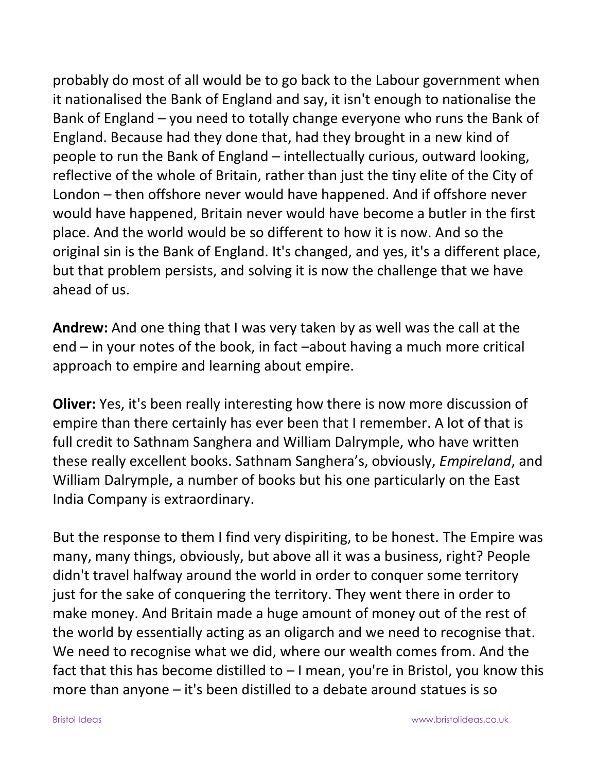probably do most of all would be to go back to the Labour government when it nationalised the Bank of England and say, it isn't enough to nationalise the Bank of England – you need to totally change everyone who runs the Bank of England. Because had they done that, had they brought in a new kind of people to run the Bank of England – intellectually curious, outward looking, reflective of the whole of Britain, rather than just the tiny elite of the City of London – then offshore never would have happened. And if offshore never would have happened, Britain never would have become a butler in the first place. And the world would be so different to how it is now. And so the original sin is the Bank of England. It's changed, and yes, it's a different place, but that problem persists, and solving it is now the challenge that we have ahead of us.

**Andrew:** And one thing that I was very taken by as well was the call at the end – in your notes of the book, in fact –about having a much more critical approach to empire and learning about empire.

**Oliver:** Yes, it's been really interesting how there is now more discussion of empire than there certainly has ever been that I remember. A lot of that is full credit to Sathnam Sanghera and William Dalrymple, who have written these really excellent books. Sathnam Sanghera's, obviously, *Empireland*, and William Dalrymple, a number of books but his one particularly on the East India Company is extraordinary.

But the response to them I find very dispiriting, to be honest. The Empire was many, many things, obviously, but above all it was a business, right? People didn't travel halfway around the world in order to conquer some territory just for the sake of conquering the territory. They went there in order to make money. And Britain made a huge amount of money out of the rest of the world by essentially acting as an oligarch and we need to recognise that. We need to recognise what we did, where our wealth comes from. And the fact that this has become distilled to  $-1$  mean, you're in Bristol, you know this more than anyone – it's been distilled to a debate around statues is so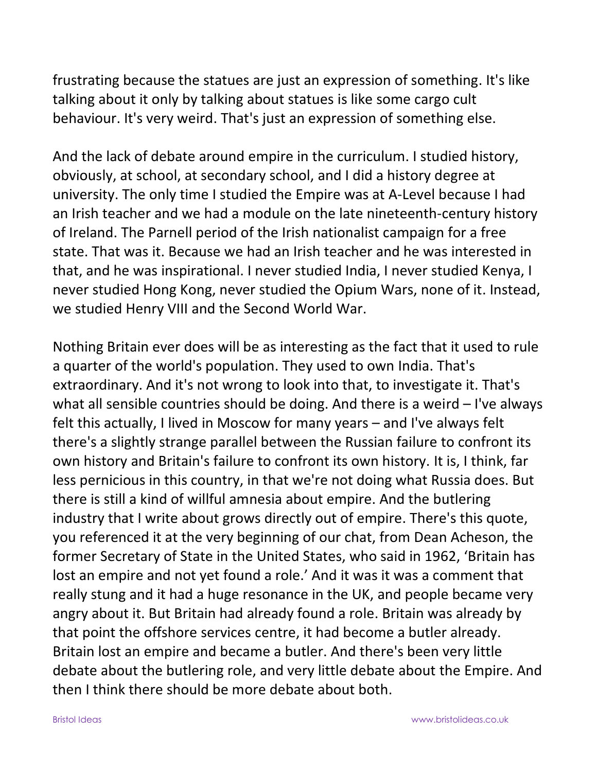frustrating because the statues are just an expression of something. It's like talking about it only by talking about statues is like some cargo cult behaviour. It's very weird. That's just an expression of something else.

And the lack of debate around empire in the curriculum. I studied history, obviously, at school, at secondary school, and I did a history degree at university. The only time I studied the Empire was at A-Level because I had an Irish teacher and we had a module on the late nineteenth-century history of Ireland. The Parnell period of the Irish nationalist campaign for a free state. That was it. Because we had an Irish teacher and he was interested in that, and he was inspirational. I never studied India, I never studied Kenya, I never studied Hong Kong, never studied the Opium Wars, none of it. Instead, we studied Henry VIII and the Second World War.

Nothing Britain ever does will be as interesting as the fact that it used to rule a quarter of the world's population. They used to own India. That's extraordinary. And it's not wrong to look into that, to investigate it. That's what all sensible countries should be doing. And there is a weird – I've always felt this actually, I lived in Moscow for many years – and I've always felt there's a slightly strange parallel between the Russian failure to confront its own history and Britain's failure to confront its own history. It is, I think, far less pernicious in this country, in that we're not doing what Russia does. But there is still a kind of willful amnesia about empire. And the butlering industry that I write about grows directly out of empire. There's this quote, you referenced it at the very beginning of our chat, from Dean Acheson, the former Secretary of State in the United States, who said in 1962, 'Britain has lost an empire and not yet found a role.' And it was it was a comment that really stung and it had a huge resonance in the UK, and people became very angry about it. But Britain had already found a role. Britain was already by that point the offshore services centre, it had become a butler already. Britain lost an empire and became a butler. And there's been very little debate about the butlering role, and very little debate about the Empire. And then I think there should be more debate about both.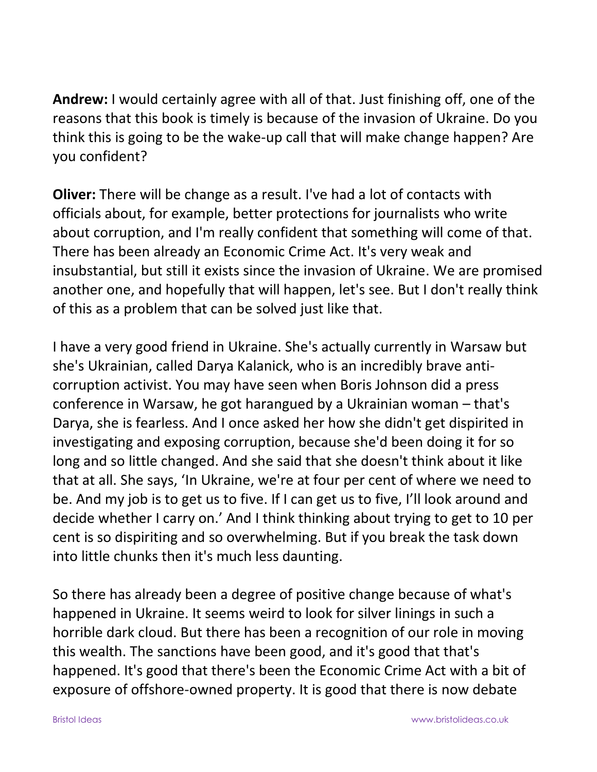**Andrew:** I would certainly agree with all of that. Just finishing off, one of the reasons that this book is timely is because of the invasion of Ukraine. Do you think this is going to be the wake-up call that will make change happen? Are you confident?

**Oliver:** There will be change as a result. I've had a lot of contacts with officials about, for example, better protections for journalists who write about corruption, and I'm really confident that something will come of that. There has been already an Economic Crime Act. It's very weak and insubstantial, but still it exists since the invasion of Ukraine. We are promised another one, and hopefully that will happen, let's see. But I don't really think of this as a problem that can be solved just like that.

I have a very good friend in Ukraine. She's actually currently in Warsaw but she's Ukrainian, called Darya Kalanick, who is an incredibly brave anticorruption activist. You may have seen when Boris Johnson did a press conference in Warsaw, he got harangued by a Ukrainian woman – that's Darya, she is fearless. And I once asked her how she didn't get dispirited in investigating and exposing corruption, because she'd been doing it for so long and so little changed. And she said that she doesn't think about it like that at all. She says, 'In Ukraine, we're at four per cent of where we need to be. And my job is to get us to five. If I can get us to five, I'll look around and decide whether I carry on.' And I think thinking about trying to get to 10 per cent is so dispiriting and so overwhelming. But if you break the task down into little chunks then it's much less daunting.

So there has already been a degree of positive change because of what's happened in Ukraine. It seems weird to look for silver linings in such a horrible dark cloud. But there has been a recognition of our role in moving this wealth. The sanctions have been good, and it's good that that's happened. It's good that there's been the Economic Crime Act with a bit of exposure of offshore-owned property. It is good that there is now debate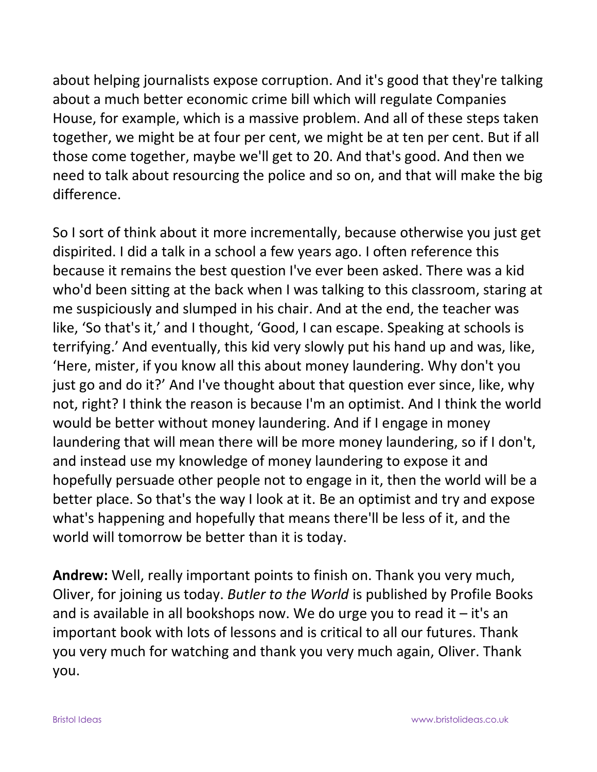about helping journalists expose corruption. And it's good that they're talking about a much better economic crime bill which will regulate Companies House, for example, which is a massive problem. And all of these steps taken together, we might be at four per cent, we might be at ten per cent. But if all those come together, maybe we'll get to 20. And that's good. And then we need to talk about resourcing the police and so on, and that will make the big difference.

So I sort of think about it more incrementally, because otherwise you just get dispirited. I did a talk in a school a few years ago. I often reference this because it remains the best question I've ever been asked. There was a kid who'd been sitting at the back when I was talking to this classroom, staring at me suspiciously and slumped in his chair. And at the end, the teacher was like, 'So that's it,' and I thought, 'Good, I can escape. Speaking at schools is terrifying.' And eventually, this kid very slowly put his hand up and was, like, 'Here, mister, if you know all this about money laundering. Why don't you just go and do it?' And I've thought about that question ever since, like, why not, right? I think the reason is because I'm an optimist. And I think the world would be better without money laundering. And if I engage in money laundering that will mean there will be more money laundering, so if I don't, and instead use my knowledge of money laundering to expose it and hopefully persuade other people not to engage in it, then the world will be a better place. So that's the way I look at it. Be an optimist and try and expose what's happening and hopefully that means there'll be less of it, and the world will tomorrow be better than it is today.

**Andrew:** Well, really important points to finish on. Thank you very much, Oliver, for joining us today. *Butler to the World* is published by Profile Books and is available in all bookshops now. We do urge you to read it  $-$  it's an important book with lots of lessons and is critical to all our futures. Thank you very much for watching and thank you very much again, Oliver. Thank you.